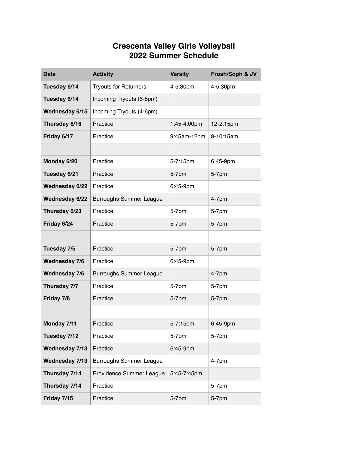## **Crescenta Valley Girls Volleyball 2022 Summer Schedule**

| <b>Date</b>          | <b>Activity</b>                | <b>Varsity</b> | Frosh/Soph & JV |
|----------------------|--------------------------------|----------------|-----------------|
| Tuesday 6/14         | <b>Tryouts for Returners</b>   | 4-5:30pm       | 4-5:30pm        |
| Tuesday 6/14         | Incoming Tryouts (6-8pm)       |                |                 |
| Wednesday 6/15       | Incoming Tryouts (4-6pm)       |                |                 |
| Thursday 6/16        | Practice                       | 1:45-4:00pm    | 12-2:15pm       |
| Friday 6/17          | Practice                       | 9:45am-12pm    | 8-10:15am       |
|                      |                                |                |                 |
| Monday 6/20          | Practice                       | 5-7:15pm       | 6:45-9pm        |
| Tuesday 6/21         | Practice                       | 5-7pm          | 5-7pm           |
| Wednesday 6/22       | Practice                       | 6:45-9pm       |                 |
| Wednesday 6/22       | <b>Burroughs Summer League</b> |                | $4-7pm$         |
| Thursday 6/23        | Practice                       | 5-7pm          | 5-7pm           |
| Friday 6/24          | Practice                       | 5-7pm          | 5-7pm           |
|                      |                                |                |                 |
| Tuesday 7/5          | Practice                       | $5-7$ pm       | 5-7pm           |
| <b>Wednesday 7/6</b> | Practice                       | 6:45-9pm       |                 |
| <b>Wednesday 7/6</b> | <b>Burroughs Summer League</b> |                | $4-7$ pm        |
| Thursday 7/7         | Practice                       | 5-7pm          | 5-7pm           |
| Friday 7/8           | Practice                       | 5-7pm          | 5-7pm           |
|                      |                                |                |                 |
| Monday 7/11          | Practice                       | 5-7:15pm       | 6:45-9pm        |
| Tuesday 7/12         | Practice                       | 5-7pm          | 5-7pm           |
| Wednesday 7/13       | Practice                       | 6:45-9pm       |                 |
| Wednesday 7/13       | <b>Burroughs Summer League</b> |                | $4-7$ pm        |
| Thursday 7/14        | Providence Summer League       | 5:45-7:45pm    |                 |
| Thursday 7/14        | Practice                       |                | 5-7pm           |
| Friday 7/15          | Practice                       | 5-7pm          | 5-7pm           |